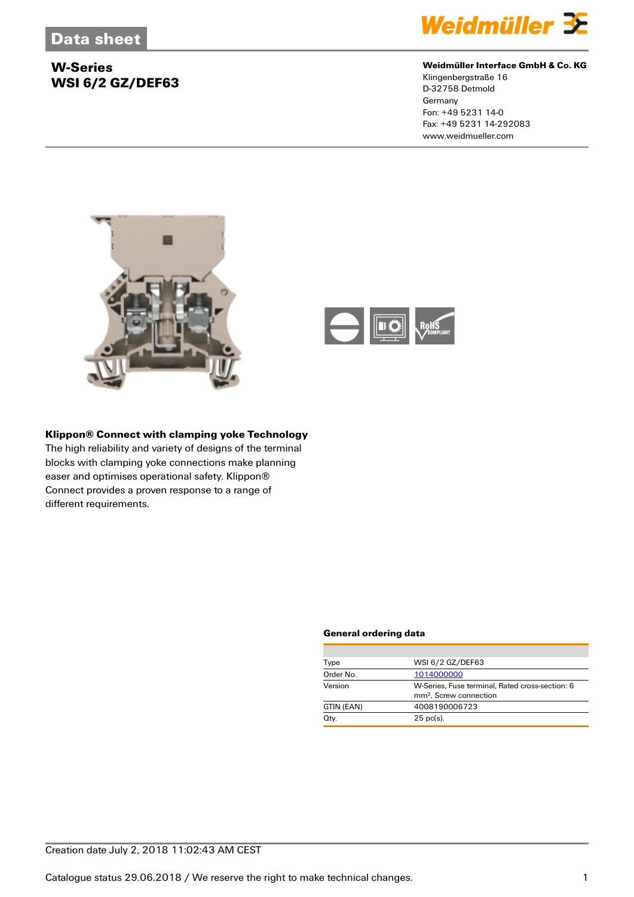

### **Weidmüller Interface GmbH & Co. KG**

Klingenbergstraße 16 D-32758 Detmold **Germany** Fon: +49 5231 14-0 Fax: +49 5231 14-292083 www.weidmueller.com





### **Klippon® Connect with clamping yoke Technology**

The high reliability and variety of designs of the terminal blocks with clamping yoke connections make planning easer and optimises operational safety. Klippon® Connect provides a proven response to a range of different requirements.

#### **General ordering data**

| Type       | WSI 6/2 GZ/DEF63                                                                      |
|------------|---------------------------------------------------------------------------------------|
| Order No.  | 1014000000                                                                            |
| Version    | W-Series, Fuse terminal, Rated cross-section: 6<br>mm <sup>2</sup> . Screw connection |
| GTIN (EAN) | 4008190006723                                                                         |
| Qty.       | $25$ pc(s).                                                                           |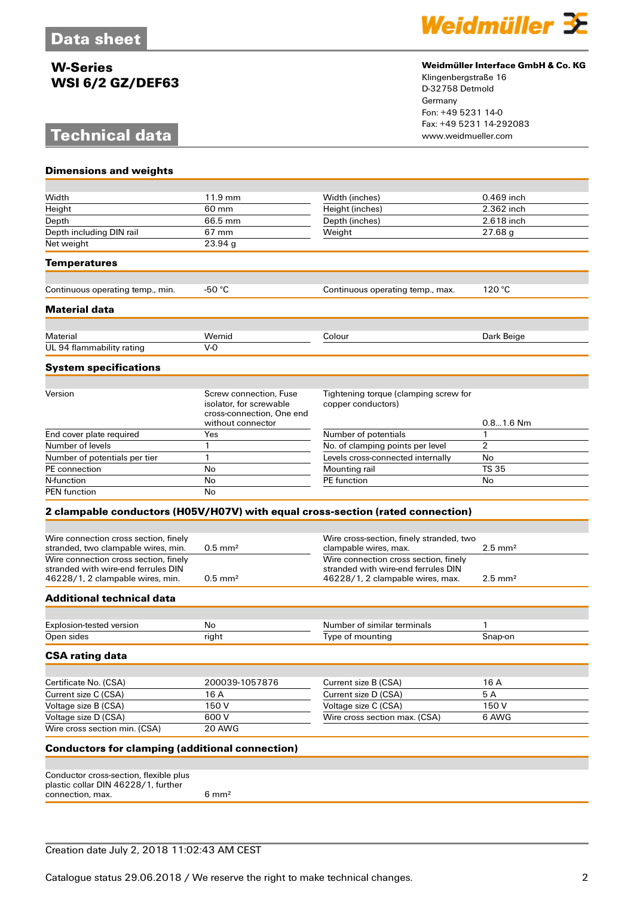# **Technical data**



### **Weidmüller Interface GmbH & Co. KG**

Klingenbergstraße 16 D-32758 Detmold Germany Fon: +49 5231 14-0 Fax: +49 5231 14-292083

| <b>Dimensions and weights</b>                                                 |                                                                                                     |                                                                                |                       |
|-------------------------------------------------------------------------------|-----------------------------------------------------------------------------------------------------|--------------------------------------------------------------------------------|-----------------------|
|                                                                               |                                                                                                     |                                                                                |                       |
| Width                                                                         | 11.9 mm                                                                                             | Width (inches)                                                                 | 0.469 inch            |
| Height                                                                        | 60 mm                                                                                               | Height (inches)                                                                | 2.362 inch            |
| Depth                                                                         | 66.5 mm                                                                                             | Depth (inches)                                                                 | 2.618 inch            |
| Depth including DIN rail                                                      | 67 mm                                                                                               | Weight                                                                         | 27.68 g               |
| Net weight                                                                    | 23.94 g                                                                                             |                                                                                |                       |
| <b>Temperatures</b>                                                           |                                                                                                     |                                                                                |                       |
| Continuous operating temp., min.                                              | -50 $°C$                                                                                            | Continuous operating temp., max.                                               | 120 °C                |
| <b>Material data</b>                                                          |                                                                                                     |                                                                                |                       |
|                                                                               |                                                                                                     |                                                                                |                       |
| Material                                                                      | Wemid                                                                                               | Colour                                                                         | Dark Beige            |
| UL 94 flammability rating                                                     | $V-0$                                                                                               |                                                                                |                       |
| <b>System specifications</b>                                                  |                                                                                                     |                                                                                |                       |
|                                                                               |                                                                                                     |                                                                                |                       |
| Version                                                                       | Screw connection, Fuse<br>isolator, for screwable<br>cross-connection, One end<br>without connector | Tightening torque (clamping screw for<br>copper conductors)                    | $0.81.6$ Nm           |
| End cover plate required                                                      | Yes                                                                                                 | Number of potentials                                                           | $\mathbf{1}$          |
| Number of levels                                                              | $\mathbf{1}$                                                                                        | No. of clamping points per level                                               | $\overline{2}$        |
| Number of potentials per tier                                                 | $\mathbf{1}$                                                                                        | Levels cross-connected internally                                              | No                    |
| PE connection                                                                 | No                                                                                                  | Mounting rail                                                                  | <b>TS 35</b>          |
| N-function                                                                    | No                                                                                                  | <b>PE</b> function                                                             | No                    |
| <b>PEN</b> function                                                           | No                                                                                                  |                                                                                |                       |
|                                                                               |                                                                                                     | 2 clampable conductors (H05V/H07V) with equal cross-section (rated connection) |                       |
|                                                                               |                                                                                                     |                                                                                |                       |
| Wire connection cross section, finely                                         |                                                                                                     | Wire cross-section, finely stranded, two                                       |                       |
| stranded, two clampable wires, min.                                           | $0.5$ mm <sup>2</sup>                                                                               | clampable wires, max.                                                          | $2.5$ mm <sup>2</sup> |
| Wire connection cross section, finely                                         |                                                                                                     | Wire connection cross section, finely                                          |                       |
| stranded with wire-end ferrules DIN                                           |                                                                                                     | stranded with wire-end ferrules DIN                                            |                       |
| 46228/1, 2 clampable wires, min.                                              | $0.5$ mm <sup>2</sup>                                                                               | 46228/1, 2 clampable wires, max.                                               | $2.5$ mm <sup>2</sup> |
| <b>Additional technical data</b>                                              |                                                                                                     |                                                                                |                       |
|                                                                               |                                                                                                     |                                                                                |                       |
| Explosion-tested version<br>Open sides                                        | No<br>right                                                                                         | Number of similar terminals<br>Type of mounting                                | 1<br>Snap-on          |
|                                                                               |                                                                                                     |                                                                                |                       |
| <b>CSA rating data</b>                                                        |                                                                                                     |                                                                                |                       |
| Certificate No. (CSA)                                                         | 200039-1057876                                                                                      | Current size B (CSA)                                                           | 16 A                  |
| Current size C (CSA)                                                          | 16 A                                                                                                | Current size D (CSA)                                                           | 5A                    |
| Voltage size B (CSA)                                                          | 150V                                                                                                | Voltage size C (CSA)                                                           | 150V                  |
| Voltage size D (CSA)                                                          | 600V                                                                                                | Wire cross section max. (CSA)                                                  | 6 AWG                 |
| Wire cross section min. (CSA)                                                 | 20 AWG                                                                                              |                                                                                |                       |
| <b>Conductors for clamping (additional connection)</b>                        |                                                                                                     |                                                                                |                       |
|                                                                               |                                                                                                     |                                                                                |                       |
| Conductor cross-section, flexible plus<br>plastic collar DIN 46228/1, further |                                                                                                     |                                                                                |                       |
| connection, max.                                                              | $6 \text{ mm}^2$                                                                                    |                                                                                |                       |
|                                                                               |                                                                                                     |                                                                                |                       |

### Creation date July 2, 2018 11:02:43 AM CEST

Catalogue status 29.06.2018 / We reserve the right to make technical changes. 2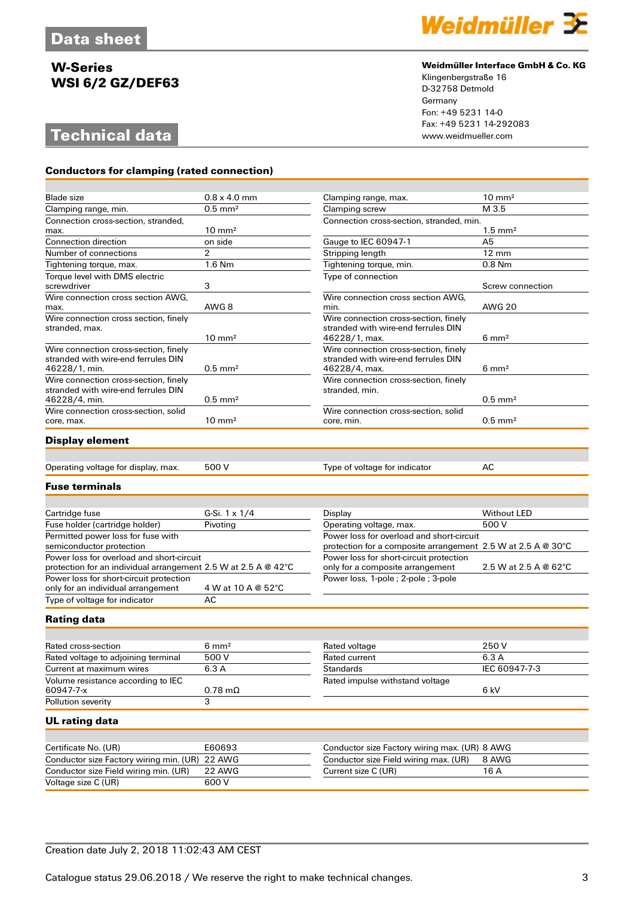# **Technical data**

**Conductors for clamping (rated connection)**



#### **Weidmüller Interface GmbH & Co. KG**

Klingenbergstraße 16 D-32758 Detmold Germany Fon: +49 5231 14-0 Fax: +49 5231 14-292083

| Blade size<br>Clamping range, min.    | $0.8 \times 4.0$ mm<br>$0.5$ mm <sup>2</sup> | Clamping range, max.                     | $10 \text{ mm}^2$     |
|---------------------------------------|----------------------------------------------|------------------------------------------|-----------------------|
|                                       |                                              |                                          |                       |
|                                       |                                              | Clamping screw                           | M 3.5                 |
| Connection cross-section, stranded,   |                                              | Connection cross-section, stranded, min. |                       |
| max.                                  | $10 \text{ mm}^2$                            |                                          | $1.5$ mm <sup>2</sup> |
| Connection direction                  | on side                                      | Gauge to IEC 60947-1                     | A <sub>5</sub>        |
| Number of connections                 | $\overline{2}$                               | Stripping length                         | $12 \text{ mm}$       |
| Tightening torque, max.               | 1.6 Nm                                       | Tightening torque, min.                  | $0.8$ Nm              |
| Torque level with DMS electric        |                                              | Type of connection                       |                       |
| screwdriver                           | 3                                            |                                          | Screw connection      |
| Wire connection cross section AWG,    |                                              | Wire connection cross section AWG.       |                       |
| max.                                  | AWG 8                                        | min.                                     | <b>AWG 20</b>         |
| Wire connection cross section, finely |                                              | Wire connection cross-section, finely    |                       |
| stranded, max.                        |                                              | stranded with wire-end ferrules DIN      |                       |
|                                       | $10 \text{ mm}^2$                            | 46228/1, max.                            | $6 \text{ mm}^2$      |
| Wire connection cross-section, finely |                                              | Wire connection cross-section, finely    |                       |
| stranded with wire-end ferrules DIN   |                                              | stranded with wire-end ferrules DIN      |                       |
| 46228/1, min.                         | $0.5$ mm <sup>2</sup>                        | 46228/4, max.                            | $6 \text{ mm}^2$      |
| Wire connection cross-section, finely |                                              | Wire connection cross-section, finely    |                       |
| stranded with wire-end ferrules DIN   |                                              | stranded, min.                           |                       |
| 46228/4, min.                         | $0.5$ mm <sup>2</sup>                        |                                          | $0.5$ mm <sup>2</sup> |
| Wire connection cross-section, solid  |                                              | Wire connection cross-section, solid     |                       |
| core, max.                            | $10 \text{ mm}^2$                            | core, min.                               | $0.5$ mm <sup>2</sup> |
|                                       |                                              |                                          |                       |
| <b>Display element</b>                |                                              |                                          |                       |

Operating voltage for display, max. 500 V Type of voltage for indicator AC

#### **Fuse terminals**

| Cartridge fuse                                                                                              | G-Si. $1 \times 1/4$ | Display                                                                                                   | Without LED           |
|-------------------------------------------------------------------------------------------------------------|----------------------|-----------------------------------------------------------------------------------------------------------|-----------------------|
| Fuse holder (cartridge holder)                                                                              | Pivoting             | Operating voltage, max.                                                                                   | 500 V                 |
| Permitted power loss for fuse with<br>semiconductor protection                                              |                      | Power loss for overload and short-circuit<br>protection for a composite arrangement 2.5 W at 2.5 A @ 30°C |                       |
| Power loss for overload and short-circuit<br>protection for an individual arrangement 2.5 W at 2.5 A @ 42°C |                      | Power loss for short-circuit protection<br>only for a composite arrangement                               | 2.5 W at 2.5 A @ 62°C |
| Power loss for short-circuit protection<br>only for an individual arrangement                               | 4 W at 10 A @ 52°C   | Power loss, 1-pole ; 2-pole ; 3-pole                                                                      |                       |
| Type of voltage for indicator                                                                               | AC                   |                                                                                                           |                       |

#### **Rating data**

| Rated cross-section                 | $6 \text{ mm}^2$       | Rated voltage                   | 250 V         |
|-------------------------------------|------------------------|---------------------------------|---------------|
| Rated voltage to adjoining terminal | 500 V                  | Rated current                   | 6.3 A         |
| Current at maximum wires            | 6.3 A                  | <b>Standards</b>                | IEC 60947-7-3 |
| Volume resistance according to IEC  |                        | Rated impulse withstand voltage |               |
| 60947-7-x                           | $0.78 \text{ m}\Omega$ |                                 | 6 kV          |
| Pollution severity                  |                        |                                 |               |

#### **UL rating data**

| Certificate No. (UR)                           | E60693 | Conductor size Factory wiring max. (UR) 8 AWG |       |
|------------------------------------------------|--------|-----------------------------------------------|-------|
| Conductor size Factory wiring min. (UR) 22 AWG |        | Conductor size Field wiring max. (UR)         | 8 AWG |
| Conductor size Field wiring min. (UR)          | 22 AWG | Current size C (UR)                           | 16 A  |
| Voltage size C (UR)                            | 600 V  |                                               |       |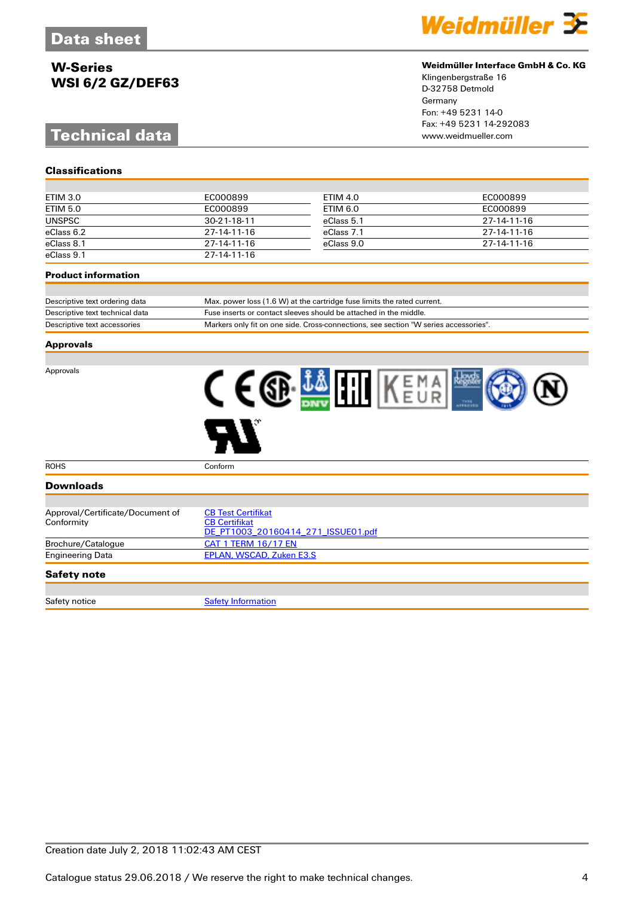# **Technical data**



#### **Weidmüller Interface GmbH & Co. KG**

Klingenbergstraße 16 D-32758 Detmold Germany Fon: +49 5231 14-0 Fax: +49 5231 14-292083

| ETIM 3.0        | EC000899            | ETIM 4.0   | EC000899    |
|-----------------|---------------------|------------|-------------|
| <b>ETIM 5.0</b> | EC000899            | ETIM 6.0   | EC000899    |
| <b>UNSPSC</b>   | $30 - 21 - 18 - 11$ | eClass 5.1 | 27-14-11-16 |
| eClass 6.2      | 27-14-11-16         | eClass 7.1 | 27-14-11-16 |
| eClass 8.1      | $27-14-11-16$       | eClass 9.0 | 27-14-11-16 |
| eClass 9.1      | 27-14-11-16         |            |             |

#### **Product information**

**Classifications**

| Descriptive text ordering data  | Max. power loss (1.6 W) at the cartridge fuse limits the rated current.              |
|---------------------------------|--------------------------------------------------------------------------------------|
| Descriptive text technical data | Fuse inserts or contact sleeves should be attached in the middle.                    |
| Descriptive text accessories    | Markers only fit on one side. Cross-connections, see section "W series accessories". |

#### **Approvals**

Approvals



| <b>ROHS</b>                      | Conform                            |
|----------------------------------|------------------------------------|
| <b>Downloads</b>                 |                                    |
|                                  |                                    |
| Approval/Certificate/Document of | <b>CB Test Certifikat</b>          |
| Conformity                       | <b>CB Certifikat</b>               |
|                                  | DE PT1003 20160414 271 ISSUE01.pdf |
| Brochure/Catalogue               | CAT 1 TERM 16/17 EN                |
| <b>Engineering Data</b>          | EPLAN, WSCAD, Zuken E3.S           |
| <b>Safety note</b>               |                                    |

| Safety notice | ation |
|---------------|-------|
|               |       |